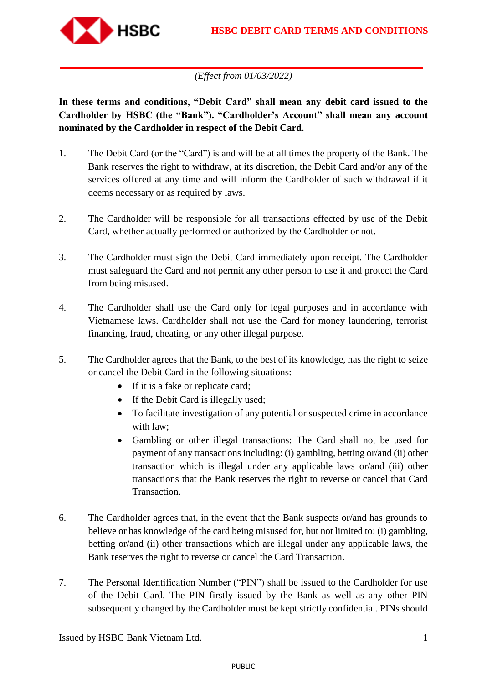

## *(Effect from 01/03/2022)*

**In these terms and conditions, "Debit Card" shall mean any debit card issued to the Cardholder by HSBC (the "Bank"). "Cardholder's Account" shall mean any account nominated by the Cardholder in respect of the Debit Card.**

- 1. The Debit Card (or the "Card") is and will be at all times the property of the Bank. The Bank reserves the right to withdraw, at its discretion, the Debit Card and/or any of the services offered at any time and will inform the Cardholder of such withdrawal if it deems necessary or as required by laws.
- 2. The Cardholder will be responsible for all transactions effected by use of the Debit Card, whether actually performed or authorized by the Cardholder or not.
- 3. The Cardholder must sign the Debit Card immediately upon receipt. The Cardholder must safeguard the Card and not permit any other person to use it and protect the Card from being misused.
- 4. The Cardholder shall use the Card only for legal purposes and in accordance with Vietnamese laws. Cardholder shall not use the Card for money laundering, terrorist financing, fraud, cheating, or any other illegal purpose.
- 5. The Cardholder agrees that the Bank, to the best of its knowledge, has the right to seize or cancel the Debit Card in the following situations:
	- If it is a fake or replicate card;
	- If the Debit Card is illegally used;
	- To facilitate investigation of any potential or suspected crime in accordance with law;
	- Gambling or other illegal transactions: The Card shall not be used for payment of any transactions including: (i) gambling, betting or/and (ii) other transaction which is illegal under any applicable laws or/and (iii) other transactions that the Bank reserves the right to reverse or cancel that Card Transaction.
- 6. The Cardholder agrees that, in the event that the Bank suspects or/and has grounds to believe or has knowledge of the card being misused for, but not limited to: (i) gambling, betting or/and (ii) other transactions which are illegal under any applicable laws, the Bank reserves the right to reverse or cancel the Card Transaction.
- 7. The Personal Identification Number ("PIN") shall be issued to the Cardholder for use of the Debit Card. The PIN firstly issued by the Bank as well as any other PIN subsequently changed by the Cardholder must be kept strictly confidential. PINs should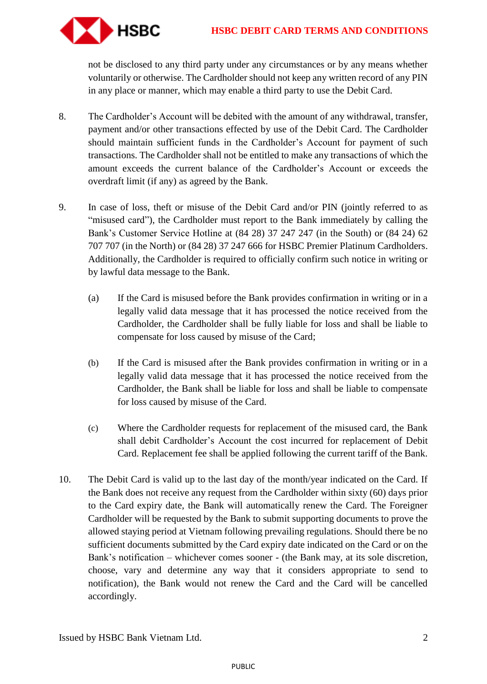

not be disclosed to any third party under any circumstances or by any means whether voluntarily or otherwise. The Cardholder should not keep any written record of any PIN in any place or manner, which may enable a third party to use the Debit Card.

- 8. The Cardholder's Account will be debited with the amount of any withdrawal, transfer, payment and/or other transactions effected by use of the Debit Card. The Cardholder should maintain sufficient funds in the Cardholder's Account for payment of such transactions. The Cardholder shall not be entitled to make any transactions of which the amount exceeds the current balance of the Cardholder's Account or exceeds the overdraft limit (if any) as agreed by the Bank.
- 9. In case of loss, theft or misuse of the Debit Card and/or PIN (jointly referred to as "misused card"), the Cardholder must report to the Bank immediately by calling the Bank's Customer Service Hotline at (84 28) 37 247 247 (in the South) or (84 24) 62 707 707 (in the North) or (84 28) 37 247 666 for HSBC Premier Platinum Cardholders. Additionally, the Cardholder is required to officially confirm such notice in writing or by lawful data message to the Bank.
	- (a) If the Card is misused before the Bank provides confirmation in writing or in a legally valid data message that it has processed the notice received from the Cardholder, the Cardholder shall be fully liable for loss and shall be liable to compensate for loss caused by misuse of the Card;
	- (b) If the Card is misused after the Bank provides confirmation in writing or in a legally valid data message that it has processed the notice received from the Cardholder, the Bank shall be liable for loss and shall be liable to compensate for loss caused by misuse of the Card.
	- (c) Where the Cardholder requests for replacement of the misused card, the Bank shall debit Cardholder's Account the cost incurred for replacement of Debit Card. Replacement fee shall be applied following the current tariff of the Bank.
- 10. The Debit Card is valid up to the last day of the month/year indicated on the Card. If the Bank does not receive any request from the Cardholder within sixty (60) days prior to the Card expiry date, the Bank will automatically renew the Card. The Foreigner Cardholder will be requested by the Bank to submit supporting documents to prove the allowed staying period at Vietnam following prevailing regulations. Should there be no sufficient documents submitted by the Card expiry date indicated on the Card or on the Bank's notification – whichever comes sooner - (the Bank may, at its sole discretion, choose, vary and determine any way that it considers appropriate to send to notification), the Bank would not renew the Card and the Card will be cancelled accordingly.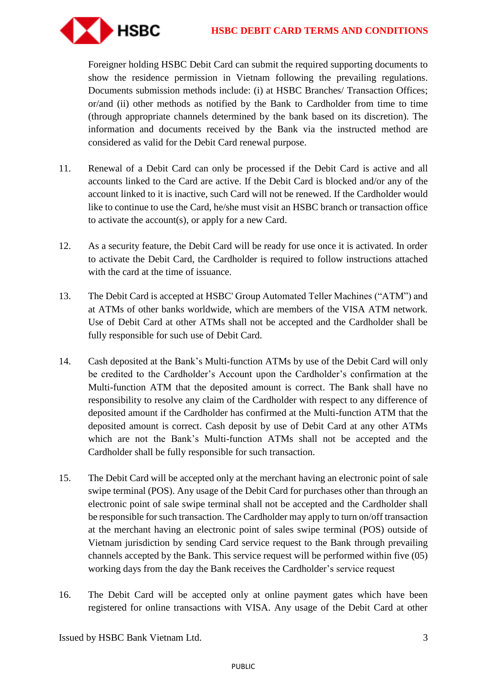

Foreigner holding HSBC Debit Card can submit the required supporting documents to show the residence permission in Vietnam following the prevailing regulations. Documents submission methods include: (i) at HSBC Branches/ Transaction Offices; or/and (ii) other methods as notified by the Bank to Cardholder from time to time (through appropriate channels determined by the bank based on its discretion). The information and documents received by the Bank via the instructed method are considered as valid for the Debit Card renewal purpose.

- 11. Renewal of a Debit Card can only be processed if the Debit Card is active and all accounts linked to the Card are active. If the Debit Card is blocked and/or any of the account linked to it is inactive, such Card will not be renewed. If the Cardholder would like to continue to use the Card, he/she must visit an HSBC branch or transaction office to activate the account(s), or apply for a new Card.
- 12. As a security feature, the Debit Card will be ready for use once it is activated. In order to activate the Debit Card, the Cardholder is required to follow instructions attached with the card at the time of issuance.
- 13. The Debit Card is accepted at HSBC' Group Automated Teller Machines ("ATM") and at ATMs of other banks worldwide, which are members of the VISA ATM network. Use of Debit Card at other ATMs shall not be accepted and the Cardholder shall be fully responsible for such use of Debit Card.
- 14. Cash deposited at the Bank's Multi-function ATMs by use of the Debit Card will only be credited to the Cardholder's Account upon the Cardholder's confirmation at the Multi-function ATM that the deposited amount is correct. The Bank shall have no responsibility to resolve any claim of the Cardholder with respect to any difference of deposited amount if the Cardholder has confirmed at the Multi-function ATM that the deposited amount is correct. Cash deposit by use of Debit Card at any other ATMs which are not the Bank's Multi-function ATMs shall not be accepted and the Cardholder shall be fully responsible for such transaction.
- 15. The Debit Card will be accepted only at the merchant having an electronic point of sale swipe terminal (POS). Any usage of the Debit Card for purchases other than through an electronic point of sale swipe terminal shall not be accepted and the Cardholder shall be responsible for such transaction. The Cardholder may apply to turn on/off transaction at the merchant having an electronic point of sales swipe terminal (POS) outside of Vietnam jurisdiction by sending Card service request to the Bank through prevailing channels accepted by the Bank. This service request will be performed within five (05) working days from the day the Bank receives the Cardholder's service request
- 16. The Debit Card will be accepted only at online payment gates which have been registered for online transactions with VISA. Any usage of the Debit Card at other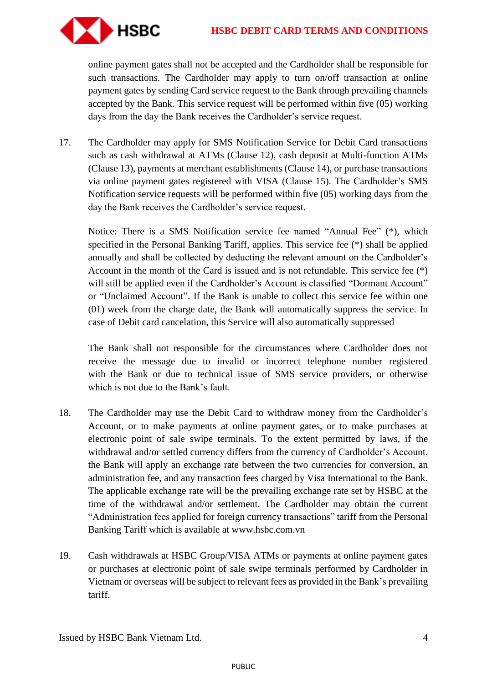

online payment gates shall not be accepted and the Cardholder shall be responsible for such transactions. The Cardholder may apply to turn on/off transaction at online payment gates by sending Card service request to the Bank through prevailing channels accepted by the Bank. This service request will be performed within five (05) working days from the day the Bank receives the Cardholder's service request.

17. The Cardholder may apply for SMS Notification Service for Debit Card transactions such as cash withdrawal at ATMs (Clause 12), cash deposit at Multi-function ATMs (Clause 13), payments at merchant establishments (Clause 14), or purchase transactions via online payment gates registered with VISA (Clause 15). The Cardholder's SMS Notification service requests will be performed within five (05) working days from the day the Bank receives the Cardholder's service request.

Notice: There is a SMS Notification service fee named "Annual Fee" (\*), which specified in the Personal Banking Tariff, applies. This service fee (\*) shall be applied annually and shall be collected by deducting the relevant amount on the Cardholder's Account in the month of the Card is issued and is not refundable. This service fee (\*) will still be applied even if the Cardholder's Account is classified "Dormant Account" or "Unclaimed Account". If the Bank is unable to collect this service fee within one (01) week from the charge date, the Bank will automatically suppress the service. In case of Debit card cancelation, this Service will also automatically suppressed

The Bank shall not responsible for the circumstances where Cardholder does not receive the message due to invalid or incorrect telephone number registered with the Bank or due to technical issue of SMS service providers, or otherwise which is not due to the Bank's fault.

- 18. The Cardholder may use the Debit Card to withdraw money from the Cardholder's Account, or to make payments at online payment gates, or to make purchases at electronic point of sale swipe terminals. To the extent permitted by laws, if the withdrawal and/or settled currency differs from the currency of Cardholder's Account, the Bank will apply an exchange rate between the two currencies for conversion, an administration fee, and any transaction fees charged by Visa International to the Bank. The applicable exchange rate will be the prevailing exchange rate set by HSBC at the time of the withdrawal and/or settlement. The Cardholder may obtain the current "Administration fees applied for foreign currency transactions" tariff from the Personal Banking Tariff which is available at www.hsbc.com.vn
- 19. Cash withdrawals at HSBC Group/VISA ATMs or payments at online payment gates or purchases at electronic point of sale swipe terminals performed by Cardholder in Vietnam or overseas will be subject to relevant fees as provided in the Bank's prevailing tariff.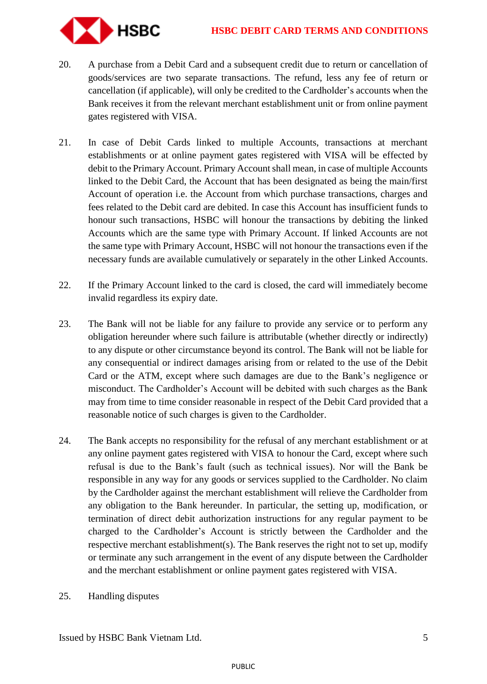

- 20. A purchase from a Debit Card and a subsequent credit due to return or cancellation of goods/services are two separate transactions. The refund, less any fee of return or cancellation (if applicable), will only be credited to the Cardholder's accounts when the Bank receives it from the relevant merchant establishment unit or from online payment gates registered with VISA.
- 21. In case of Debit Cards linked to multiple Accounts, transactions at merchant establishments or at online payment gates registered with VISA will be effected by debit to the Primary Account. Primary Account shall mean, in case of multiple Accounts linked to the Debit Card, the Account that has been designated as being the main/first Account of operation i.e. the Account from which purchase transactions, charges and fees related to the Debit card are debited. In case this Account has insufficient funds to honour such transactions, HSBC will honour the transactions by debiting the linked Accounts which are the same type with Primary Account. If linked Accounts are not the same type with Primary Account, HSBC will not honour the transactions even if the necessary funds are available cumulatively or separately in the other Linked Accounts.
- 22. If the Primary Account linked to the card is closed, the card will immediately become invalid regardless its expiry date.
- 23. The Bank will not be liable for any failure to provide any service or to perform any obligation hereunder where such failure is attributable (whether directly or indirectly) to any dispute or other circumstance beyond its control. The Bank will not be liable for any consequential or indirect damages arising from or related to the use of the Debit Card or the ATM, except where such damages are due to the Bank's negligence or misconduct. The Cardholder's Account will be debited with such charges as the Bank may from time to time consider reasonable in respect of the Debit Card provided that a reasonable notice of such charges is given to the Cardholder.
- 24. The Bank accepts no responsibility for the refusal of any merchant establishment or at any online payment gates registered with VISA to honour the Card, except where such refusal is due to the Bank's fault (such as technical issues). Nor will the Bank be responsible in any way for any goods or services supplied to the Cardholder. No claim by the Cardholder against the merchant establishment will relieve the Cardholder from any obligation to the Bank hereunder. In particular, the setting up, modification, or termination of direct debit authorization instructions for any regular payment to be charged to the Cardholder's Account is strictly between the Cardholder and the respective merchant establishment(s). The Bank reserves the right not to set up, modify or terminate any such arrangement in the event of any dispute between the Cardholder and the merchant establishment or online payment gates registered with VISA.
- 25. Handling disputes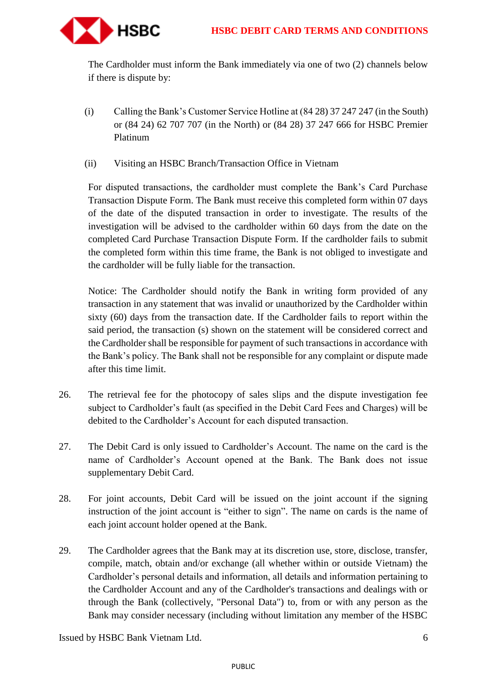

The Cardholder must inform the Bank immediately via one of two (2) channels below if there is dispute by:

- (i) Calling the Bank's Customer Service Hotline at (84 28) 37 247 247 (in the South) or (84 24) 62 707 707 (in the North) or (84 28) 37 247 666 for HSBC Premier Platinum
- (ii) Visiting an HSBC Branch/Transaction Office in Vietnam

For disputed transactions, the cardholder must complete the Bank's Card Purchase Transaction Dispute Form. The Bank must receive this completed form within 07 days of the date of the disputed transaction in order to investigate. The results of the investigation will be advised to the cardholder within 60 days from the date on the completed Card Purchase Transaction Dispute Form. If the cardholder fails to submit the completed form within this time frame, the Bank is not obliged to investigate and the cardholder will be fully liable for the transaction.

Notice: The Cardholder should notify the Bank in writing form provided of any transaction in any statement that was invalid or unauthorized by the Cardholder within sixty (60) days from the transaction date. If the Cardholder fails to report within the said period, the transaction (s) shown on the statement will be considered correct and the Cardholder shall be responsible for payment of such transactions in accordance with the Bank's policy. The Bank shall not be responsible for any complaint or dispute made after this time limit.

- 26. The retrieval fee for the photocopy of sales slips and the dispute investigation fee subject to Cardholder's fault (as specified in the Debit Card Fees and Charges) will be debited to the Cardholder's Account for each disputed transaction.
- 27. The Debit Card is only issued to Cardholder's Account. The name on the card is the name of Cardholder's Account opened at the Bank. The Bank does not issue supplementary Debit Card.
- 28. For joint accounts, Debit Card will be issued on the joint account if the signing instruction of the joint account is "either to sign". The name on cards is the name of each joint account holder opened at the Bank.
- 29. The Cardholder agrees that the Bank may at its discretion use, store, disclose, transfer, compile, match, obtain and/or exchange (all whether within or outside Vietnam) the Cardholder's personal details and information, all details and information pertaining to the Cardholder Account and any of the Cardholder's transactions and dealings with or through the Bank (collectively, "Personal Data") to, from or with any person as the Bank may consider necessary (including without limitation any member of the HSBC

Issued by HSBC Bank Vietnam Ltd. 6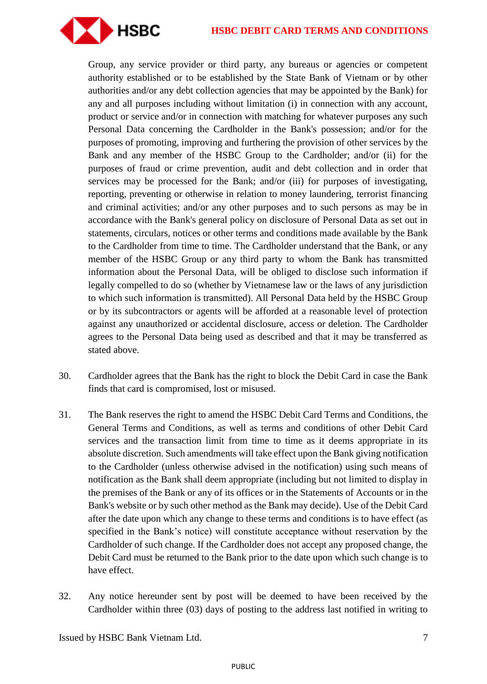## **HSBC DEBIT CARD TERMS AND CONDITIONS**



Group, any service provider or third party, any bureaus or agencies or competent authority established or to be established by the State Bank of Vietnam or by other authorities and/or any debt collection agencies that may be appointed by the Bank) for any and all purposes including without limitation (i) in connection with any account, product or service and/or in connection with matching for whatever purposes any such Personal Data concerning the Cardholder in the Bank's possession; and/or for the purposes of promoting, improving and furthering the provision of other services by the Bank and any member of the HSBC Group to the Cardholder; and/or (ii) for the purposes of fraud or crime prevention, audit and debt collection and in order that services may be processed for the Bank; and/or (iii) for purposes of investigating, reporting, preventing or otherwise in relation to money laundering, terrorist financing and criminal activities; and/or any other purposes and to such persons as may be in accordance with the Bank's general policy on disclosure of Personal Data as set out in statements, circulars, notices or other terms and conditions made available by the Bank to the Cardholder from time to time. The Cardholder understand that the Bank, or any member of the HSBC Group or any third party to whom the Bank has transmitted information about the Personal Data, will be obliged to disclose such information if legally compelled to do so (whether by Vietnamese law or the laws of any jurisdiction to which such information is transmitted). All Personal Data held by the HSBC Group or by its subcontractors or agents will be afforded at a reasonable level of protection against any unauthorized or accidental disclosure, access or deletion. The Cardholder agrees to the Personal Data being used as described and that it may be transferred as stated above.

- 30. Cardholder agrees that the Bank has the right to block the Debit Card in case the Bank finds that card is compromised, lost or misused.
- 31. The Bank reserves the right to amend the HSBC Debit Card Terms and Conditions, the General Terms and Conditions, as well as terms and conditions of other Debit Card services and the transaction limit from time to time as it deems appropriate in its absolute discretion. Such amendments will take effect upon the Bank giving notification to the Cardholder (unless otherwise advised in the notification) using such means of notification as the Bank shall deem appropriate (including but not limited to display in the premises of the Bank or any of its offices or in the Statements of Accounts or in the Bank's website or by such other method as the Bank may decide). Use of the Debit Card after the date upon which any change to these terms and conditions is to have effect (as specified in the Bank's notice) will constitute acceptance without reservation by the Cardholder of such change. If the Cardholder does not accept any proposed change, the Debit Card must be returned to the Bank prior to the date upon which such change is to have effect.
- 32. Any notice hereunder sent by post will be deemed to have been received by the Cardholder within three (03) days of posting to the address last notified in writing to